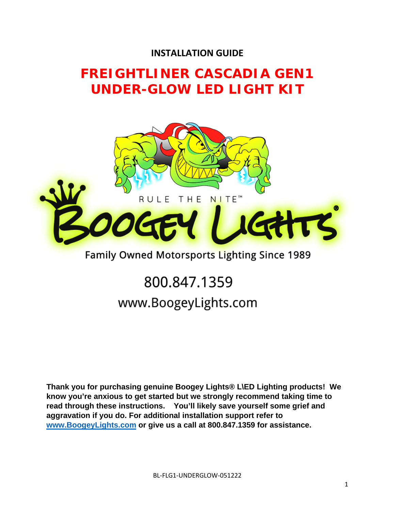## **INSTALLATION GUIDE**

## **FREIGHTLINER CASCADIA GEN1 UNDER-GLOW LED LIGHT KIT**



## Family Owned Motorsports Lighting Since 1989

# 800.847.1359 www.BoogeyLights.com

**Thank you for purchasing genuine Boogey Lights® L\ED Lighting products! We know you're anxious to get started but we strongly recommend taking time to read through these instructions. You'll likely save yourself some grief and aggravation if you do. For additional installation support refer to www.BoogeyLights.com or give us a call at 800.847.1359 for assistance.**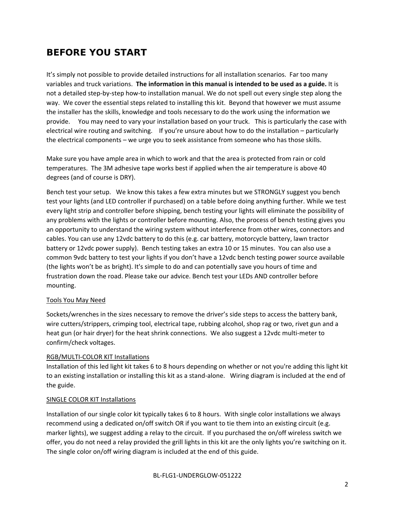## **BEFORE YOU START**

It's simply not possible to provide detailed instructions for all installation scenarios. Far too many variables and truck variations. **The information in this manual is intended to be used as a guide.** It is not a detailed step‐by‐step how‐to installation manual. We do not spell out every single step along the way. We cover the essential steps related to installing this kit. Beyond that however we must assume the installer has the skills, knowledge and tools necessary to do the work using the information we provide. You may need to vary your installation based on your truck. This is particularly the case with electrical wire routing and switching. If you're unsure about how to do the installation – particularly the electrical components – we urge you to seek assistance from someone who has those skills.

Make sure you have ample area in which to work and that the area is protected from rain or cold temperatures. The 3M adhesive tape works best if applied when the air temperature is above 40 degrees (and of course is DRY).

Bench test your setup. We know this takes a few extra minutes but we STRONGLY suggest you bench test your lights (and LED controller if purchased) on a table before doing anything further. While we test every light strip and controller before shipping, bench testing your lights will eliminate the possibility of any problems with the lights or controller before mounting. Also, the process of bench testing gives you an opportunity to understand the wiring system without interference from other wires, connectors and cables. You can use any 12vdc battery to do this (e.g. car battery, motorcycle battery, lawn tractor battery or 12vdc power supply). Bench testing takes an extra 10 or 15 minutes. You can also use a common 9vdc battery to test your lights if you don't have a 12vdc bench testing power source available (the lights won't be as bright). It's simple to do and can potentially save you hours of time and frustration down the road. Please take our advice. Bench test your LEDs AND controller before mounting.

#### Tools You May Need

Sockets/wrenches in the sizes necessary to remove the driver's side steps to access the battery bank, wire cutters/strippers, crimping tool, electrical tape, rubbing alcohol, shop rag or two, rivet gun and a heat gun (or hair dryer) for the heat shrink connections. We also suggest a 12vdc multi-meter to confirm/check voltages.

#### RGB/MULTI‐COLOR KIT Installations

Installation of this led light kit takes 6 to 8 hours depending on whether or not you're adding this light kit to an existing installation or installing this kit as a stand-alone. Wiring diagram is included at the end of the guide.

#### SINGLE COLOR KIT Installations

Installation of our single color kit typically takes 6 to 8 hours. With single color installations we always recommend using a dedicated on/off switch OR if you want to tie them into an existing circuit (e.g. marker lights), we suggest adding a relay to the circuit. If you purchased the on/off wireless switch we offer, you do not need a relay provided the grill lights in this kit are the only lights you're switching on it. The single color on/off wiring diagram is included at the end of this guide.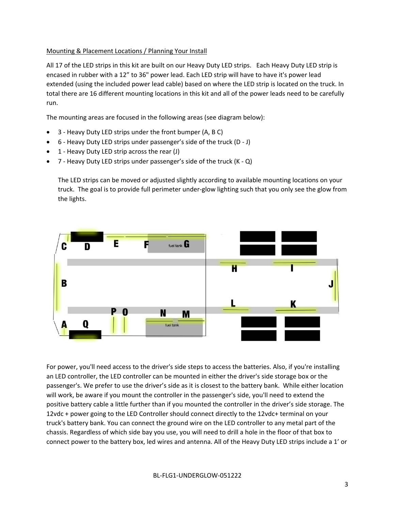#### Mounting & Placement Locations / Planning Your Install

All 17 of the LED strips in this kit are built on our Heavy Duty LED strips. Each Heavy Duty LED strip is encased in rubber with a 12" to 36" power lead. Each LED strip will have to have it's power lead extended (using the included power lead cable) based on where the LED strip is located on the truck. In total there are 16 different mounting locations in this kit and all of the power leads need to be carefully run.

The mounting areas are focused in the following areas (see diagram below):

- 3 ‐ Heavy Duty LED strips under the front bumper (A, B C)
- 6 ‐ Heavy Duty LED strips under passenger's side of the truck (D ‐ J)
- 1 ‐ Heavy Duty LED strip across the rear (J)
- 7 ‐ Heavy Duty LED strips under passenger's side of the truck (K ‐ Q)

The LED strips can be moved or adjusted slightly according to available mounting locations on your truck. The goal is to provide full perimeter under‐glow lighting such that you only see the glow from the lights.



For power, you'll need access to the driver's side steps to access the batteries. Also, if you're installing an LED controller, the LED controller can be mounted in either the driver's side storage box or the passenger's. We prefer to use the driver's side as it is closest to the battery bank. While either location will work, be aware if you mount the controller in the passenger's side, you'll need to extend the positive battery cable a little further than if you mounted the controller in the driver's side storage. The 12vdc + power going to the LED Controller should connect directly to the 12vdc+ terminal on your truck's battery bank. You can connect the ground wire on the LED controller to any metal part of the chassis. Regardless of which side bay you use, you will need to drill a hole in the floor of that box to connect power to the battery box, led wires and antenna. All of the Heavy Duty LED strips include a 1' or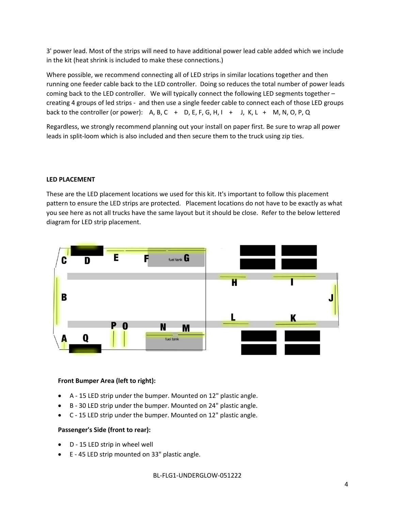3' power lead. Most of the strips will need to have additional power lead cable added which we include in the kit (heat shrink is included to make these connections.)

Where possible, we recommend connecting all of LED strips in similar locations together and then running one feeder cable back to the LED controller. Doing so reduces the total number of power leads coming back to the LED controller. We will typically connect the following LED segments together – creating 4 groups of led strips ‐ and then use a single feeder cable to connect each of those LED groups back to the controller (or power): A, B, C + D, E, F, G, H, I + J, K, L + M, N, O, P, Q

Regardless, we strongly recommend planning out your install on paper first. Be sure to wrap all power leads in split‐loom which is also included and then secure them to the truck using zip ties.

#### **LED PLACEMENT**

These are the LED placement locations we used for this kit. It's important to follow this placement pattern to ensure the LED strips are protected. Placement locations do not have to be exactly as what you see here as not all trucks have the same layout but it should be close. Refer to the below lettered diagram for LED strip placement.



#### **Front Bumper Area (left to right):**

- A ‐ 15 LED strip under the bumper. Mounted on 12" plastic angle.
- B ‐ 30 LED strip under the bumper. Mounted on 24" plastic angle.
- C ‐ 15 LED strip under the bumper. Mounted on 12" plastic angle.

#### **Passenger's Side (front to rear):**

- D 15 LED strip in wheel well
- E 45 LED strip mounted on 33" plastic angle.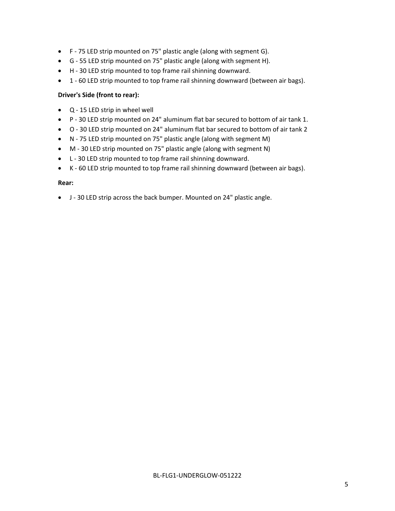- F ‐ 75 LED strip mounted on 75" plastic angle (along with segment G).
- G ‐ 55 LED strip mounted on 75" plastic angle (along with segment H).
- H 30 LED strip mounted to top frame rail shinning downward.
- 1 60 LED strip mounted to top frame rail shinning downward (between air bags).

#### **Driver's Side (front to rear):**

- Q ‐ 15 LED strip in wheel well
- P ‐ 30 LED strip mounted on 24" aluminum flat bar secured to bottom of air tank 1.
- O 30 LED strip mounted on 24" aluminum flat bar secured to bottom of air tank 2
- N ‐ 75 LED strip mounted on 75" plastic angle (along with segment M)
- M ‐ 30 LED strip mounted on 75" plastic angle (along with segment N)
- L 30 LED strip mounted to top frame rail shinning downward.
- K 60 LED strip mounted to top frame rail shinning downward (between air bags).

#### **Rear:**

J ‐ 30 LED strip across the back bumper. Mounted on 24" plastic angle.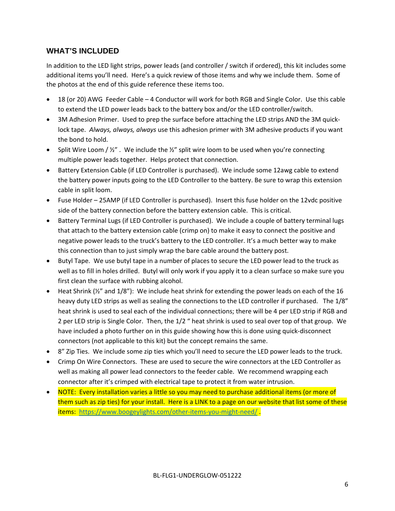#### **WHAT'S INCLUDED**

In addition to the LED light strips, power leads (and controller / switch if ordered), this kit includes some additional items you'll need. Here's a quick review of those items and why we include them. Some of the photos at the end of this guide reference these items too.

- 18 (or 20) AWG Feeder Cable 4 Conductor will work for both RGB and Single Color. Use this cable to extend the LED power leads back to the battery box and/or the LED controller/switch.
- 3M Adhesion Primer. Used to prep the surface before attaching the LED strips AND the 3M quicklock tape. *Always, always, always* use this adhesion primer with 3M adhesive products if you want the bond to hold.
- Split Wire Loom  $/$  ½". We include the  $\frac{1}{2}$ " split wire loom to be used when you're connecting multiple power leads together. Helps protect that connection.
- Battery Extension Cable (if LED Controller is purchased). We include some 12awg cable to extend the battery power inputs going to the LED Controller to the battery. Be sure to wrap this extension cable in split loom.
- Fuse Holder 25AMP (if LED Controller is purchased). Insert this fuse holder on the 12vdc positive side of the battery connection before the battery extension cable. This is critical.
- Battery Terminal Lugs (if LED Controller is purchased). We include a couple of battery terminal lugs that attach to the battery extension cable (crimp on) to make it easy to connect the positive and negative power leads to the truck's battery to the LED controller. It's a much better way to make this connection than to just simply wrap the bare cable around the battery post.
- Butyl Tape. We use butyl tape in a number of places to secure the LED power lead to the truck as well as to fill in holes drilled. Butyl will only work if you apply it to a clean surface so make sure you first clean the surface with rubbing alcohol.
- $\bullet$  Heat Shrink ( $\frac{1}{2}$ " and  $\frac{1}{8}$ "): We include heat shrink for extending the power leads on each of the 16 heavy duty LED strips as well as sealing the connections to the LED controller if purchased. The 1/8" heat shrink is used to seal each of the individual connections; there will be 4 per LED strip if RGB and 2 per LED strip is Single Color. Then, the 1/2 " heat shrink is used to seal over top of that group. We have included a photo further on in this guide showing how this is done using quick-disconnect connectors (not applicable to this kit) but the concept remains the same.
- 8" Zip Ties. We include some zip ties which you'll need to secure the LED power leads to the truck.
- Crimp On Wire Connectors. These are used to secure the wire connectors at the LED Controller as well as making all power lead connectors to the feeder cable. We recommend wrapping each connector after it's crimped with electrical tape to protect it from water intrusion.
- NOTE: Every installation varies a little so you may need to purchase additional items (or more of them such as zip ties) for your install. Here is a LINK to a page on our website that list some of these items: https://www.boogeylights.com/other-items-you-might-need/.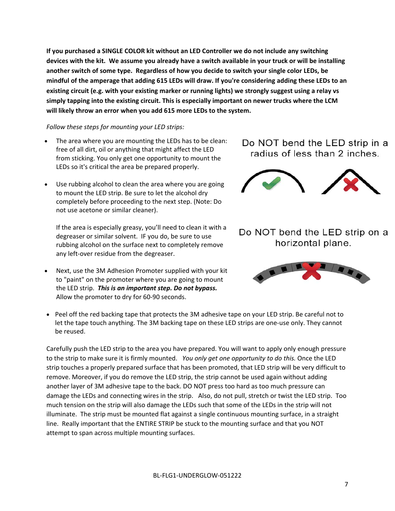**If you purchased a SINGLE COLOR kit without an LED Controller we do not include any switching** devices with the kit. We assume you already have a switch available in your truck or will be installing **another switch of some type. Regardless of how you decide to switch your single color LEDs, be** mindful of the amperage that adding 615 LEDs will draw. If you're considering adding these LEDs to an **existing circuit (e.g. with your existing marker or running lights) we strongly suggest using a relay vs simply tapping into the existing circuit. This is especially important on newer trucks where the LCM will likely throw an error when you add 615 more LEDs to the system.** 

#### *Follow these steps for mounting your LED strips:*

- The area where you are mounting the LEDs has to be clean: free of all dirt, oil or anything that might affect the LED from sticking. You only get one opportunity to mount the LEDs so it's critical the area be prepared properly.
- Use rubbing alcohol to clean the area where you are going to mount the LED strip. Be sure to let the alcohol dry completely before proceeding to the next step. (Note: Do not use acetone or similar cleaner).

If the area is especially greasy, you'll need to clean it with a degreaser or similar solvent. IF you do, be sure to use rubbing alcohol on the surface next to completely remove any left-over residue from the degreaser.

- Next, use the 3M Adhesion Promoter supplied with your kit to "paint" on the promoter where you are going to mount the LED strip. *This is an important step. Do not bypass.* Allow the promoter to dry for 60‐90 seconds.
- Peel off the red backing tape that protects the 3M adhesive tape on your LED strip. Be careful not to let the tape touch anything. The 3M backing tape on these LED strips are one-use only. They cannot be reused.

Carefully push the LED strip to the area you have prepared. You will want to apply only enough pressure to the strip to make sure it is firmly mounted. *You only get one opportunity to do this.* Once the LED strip touches a properly prepared surface that has been promoted, that LED strip will be very difficult to remove. Moreover, if you do remove the LED strip, the strip cannot be used again without adding another layer of 3M adhesive tape to the back. DO NOT press too hard as too much pressure can damage the LEDs and connecting wires in the strip. Also, do not pull, stretch or twist the LED strip. Too much tension on the strip will also damage the LEDs such that some of the LEDs in the strip will not illuminate. The strip must be mounted flat against a single continuous mounting surface, in a straight line. Really important that the ENTIRE STRIP be stuck to the mounting surface and that you NOT attempt to span across multiple mounting surfaces.

### Do NOT bend the LED strip in a radius of less than 2 inches.



Do NOT bend the LED strip on a horizontal plane.

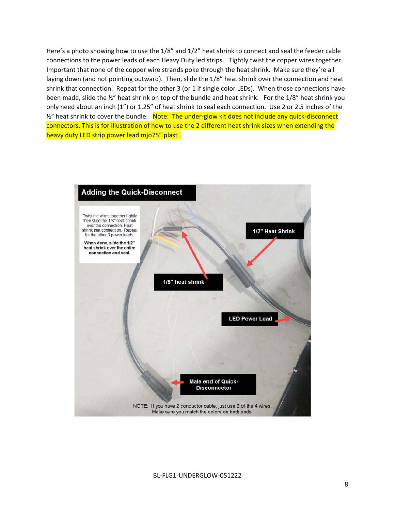Here's a photo showing how to use the 1/8" and 1/2" heat shrink to connect and seal the feeder cable connections to the power leads of each Heavy Duty led strips. Tightly twist the copper wires together. Important that none of the copper wire strands poke through the heat shrink. Make sure they're all laying down (and not pointing outward). Then, slide the 1/8" heat shrink over the connection and heat shrink that connection. Repeat for the other 3 (or 1 if single color LEDs). When those connections have been made, slide the ½" heat shrink on top of the bundle and heat shrink. For the 1/8" heat shrink you only need about an inch (1") or 1.25" of heat shrink to seal each connection. Use 2 or 2.5 inches of the ½" heat shrink to cover the bundle. Note: The under-glow kit does not include any quick-disconnect connectors. This is for illustration of how to use the 2 different heat shrink sizes when extending the heavy duty LED strip power lead mjo75" plast.

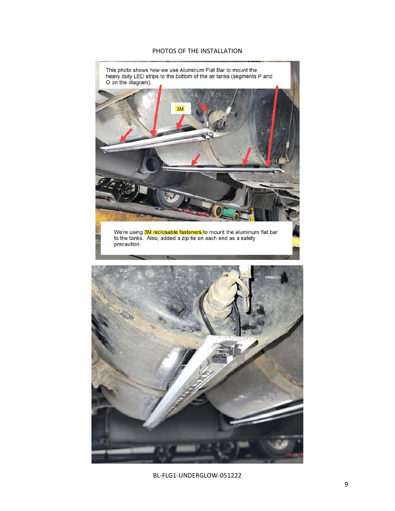#### PHOTOS OF THE INSTALLATION



BL‐FLG1‐UNDERGLOW‐051222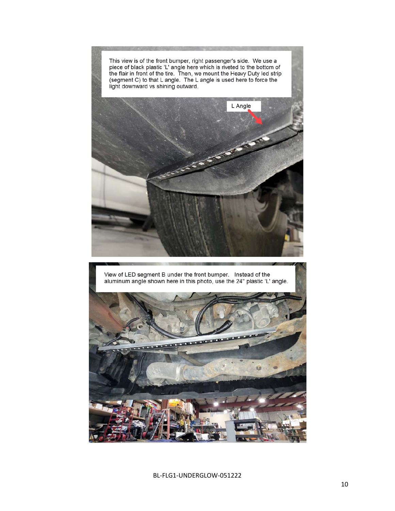This view is of the front bumper, right passenger's side. We use a piece of black plastic 'L' angle here which is riveted to the bottom of<br>the flair in front of the tire. Then, we mount the Heavy Duty led strip<br>(segment C) to that L angle. The L angle is used here to force the light downward vs shining outward.



View of LED segment B under the front bumper. Instead of the aluminum angle shown here in this photo, use the 24" plastic 'L' angle.

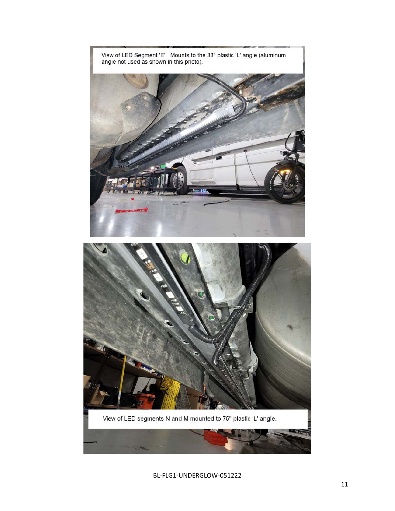

BL-FLG1-UNDERGLOW-051222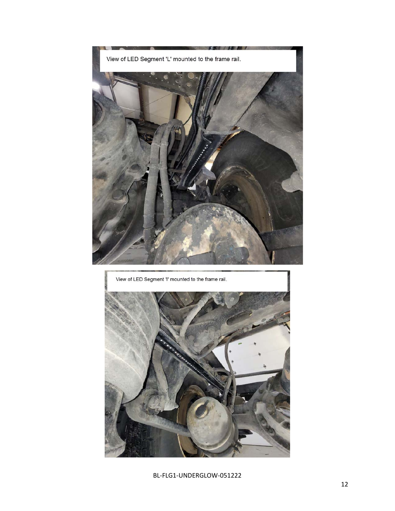



BL-FLG1-UNDERGLOW-051222